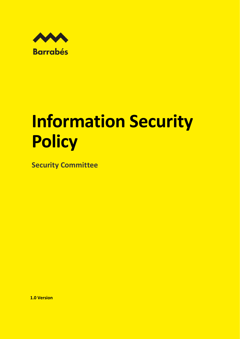

## **Information Security Policy**

**Security Committee**

**1.0 Version**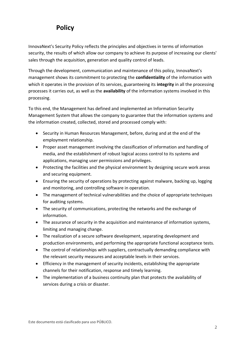## **Policy**

InnovaNext's Security Policy reflects the principles and objectives in terms of information security, the results of which allow our company to achieve its purpose of increasing our clients' sales through the acquisition, generation and quality control of leads.

Through the development, communication and maintenance of this policy, InnovaNext's management shows its commitment to protecting the **confidentiality** of the information with which it operates in the provision of its services, guaranteeing its **integrity** in all the processing processes it carries out, as well as the **availability** of the information systems involved in this processing.

To this end, the Management has defined and implemented an Information Security Management System that allows the company to guarantee that the information systems and the information created, collected, stored and processed comply with:

- Security in Human Resources Management, before, during and at the end of the employment relationship.
- Proper asset management involving the classification of information and handling of media, and the establishment of robust logical access control to its systems and applications, managing user permissions and privileges.
- Protecting the facilities and the physical environment by designing secure work areas and securing equipment.
- Ensuring the security of operations by protecting against malware, backing up, logging and monitoring, and controlling software in operation.
- The management of technical vulnerabilities and the choice of appropriate techniques for auditing systems.
- The security of communications, protecting the networks and the exchange of information.
- The assurance of security in the acquisition and maintenance of information systems, limiting and managing change.
- The realization of a secure software development, separating development and production environments, and performing the appropriate functional acceptance tests.
- The control of relationships with suppliers, contractually demanding compliance with the relevant security measures and acceptable levels in their services.
- Efficiency in the management of security incidents, establishing the appropriate channels for their notification, response and timely learning.
- The implementation of a business continuity plan that protects the availability of services during a crisis or disaster.